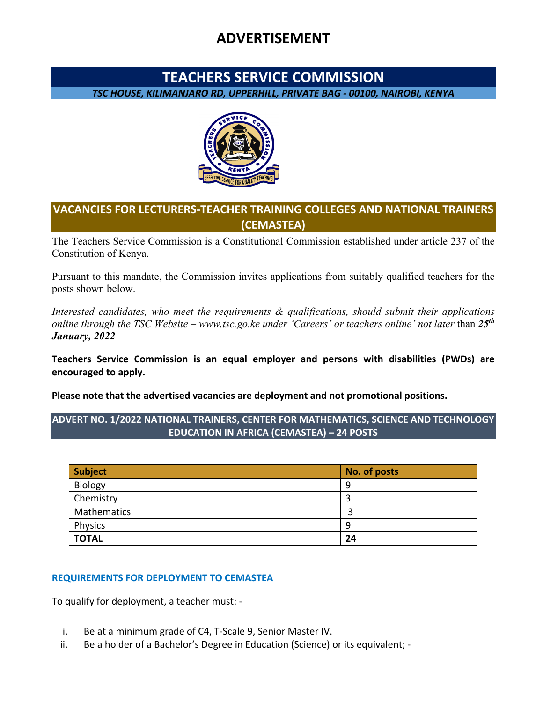# **ADVERTISEMENT**

## **TEACHERS SERVICE COMMISSION**

*TSC HOUSE, KILIMANJARO RD, UPPERHILL, PRIVATE BAG - 00100, NAIROBI, KENYA*



## **VACANCIES FOR LECTURERS-TEACHER TRAINING COLLEGES AND NATIONAL TRAINERS (CEMASTEA)**

The Teachers Service Commission is a Constitutional Commission established under article 237 of the Constitution of Kenya.

Pursuant to this mandate, the Commission invites applications from suitably qualified teachers for the posts shown below.

*Interested candidates, who meet the requirements & qualifications, should submit their applications online through the TSC Website – www.tsc.go.ke under 'Careers' or teachers online' not later than*  $25<sup>th</sup>$ *January, 2022* 

**Teachers Service Commission is an equal employer and persons with disabilities (PWDs) are encouraged to apply.** 

**Please note that the advertised vacancies are deployment and not promotional positions.** 

### **ADVERT NO. 1/2022 NATIONAL TRAINERS, CENTER FOR MATHEMATICS, SCIENCE AND TECHNOLOGY EDUCATION IN AFRICA (CEMASTEA) – 24 POSTS**

| <b>Subject</b> | No. of posts |
|----------------|--------------|
| Biology        | 9            |
| Chemistry      |              |
| Mathematics    |              |
| Physics        | 9            |
| <b>TOTAL</b>   | 24           |

### **REQUIREMENTS FOR DEPLOYMENT TO CEMASTEA**

To qualify for deployment, a teacher must: -

- i. Be at a minimum grade of C4, T-Scale 9, Senior Master IV.
- ii. Be a holder of a Bachelor's Degree in Education (Science) or its equivalent; -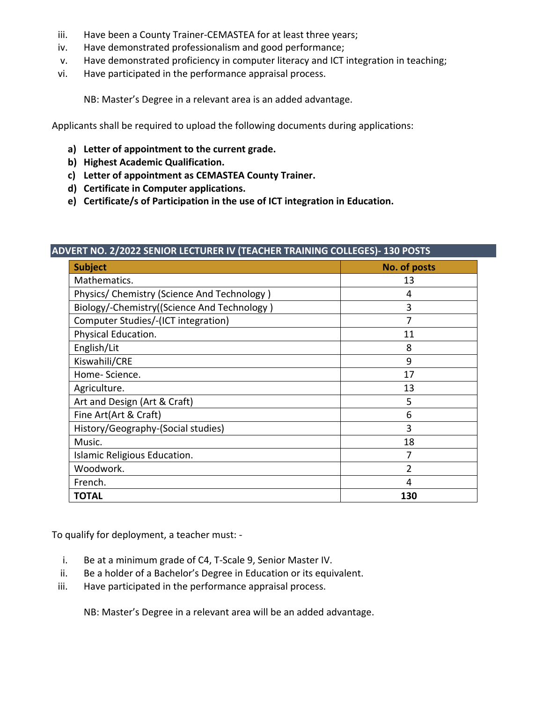- iii. Have been a County Trainer-CEMASTEA for at least three years;
- iv. Have demonstrated professionalism and good performance;
- v. Have demonstrated proficiency in computer literacy and ICT integration in teaching;
- vi. Have participated in the performance appraisal process.

NB: Master's Degree in a relevant area is an added advantage.

Applicants shall be required to upload the following documents during applications:

- **a) Letter of appointment to the current grade.**
- **b) Highest Academic Qualification.**
- **c) Letter of appointment as CEMASTEA County Trainer.**
- **d) Certificate in Computer applications.**
- **e) Certificate/s of Participation in the use of ICT integration in Education.**

| <b>Subject</b>                              | No. of posts   |
|---------------------------------------------|----------------|
| Mathematics.                                | 13             |
| Physics/ Chemistry (Science And Technology) | 4              |
| Biology/-Chemistry((Science And Technology) | 3              |
| Computer Studies/-(ICT integration)         |                |
| Physical Education.                         | 11             |
| English/Lit                                 | 8              |
| Kiswahili/CRE                               | 9              |
| Home-Science.                               | 17             |
| Agriculture.                                | 13             |
| Art and Design (Art & Craft)                | 5              |
| Fine Art(Art & Craft)                       | 6              |
| History/Geography-(Social studies)          | 3              |
| Music.                                      | 18             |
| Islamic Religious Education.                |                |
| Woodwork.                                   | $\overline{2}$ |
| French.                                     | 4              |
| <b>TOTAL</b>                                | 130            |

To qualify for deployment, a teacher must: -

- i. Be at a minimum grade of C4, T-Scale 9, Senior Master IV.
- ii. Be a holder of a Bachelor's Degree in Education or its equivalent.
- iii. Have participated in the performance appraisal process.

NB: Master's Degree in a relevant area will be an added advantage.